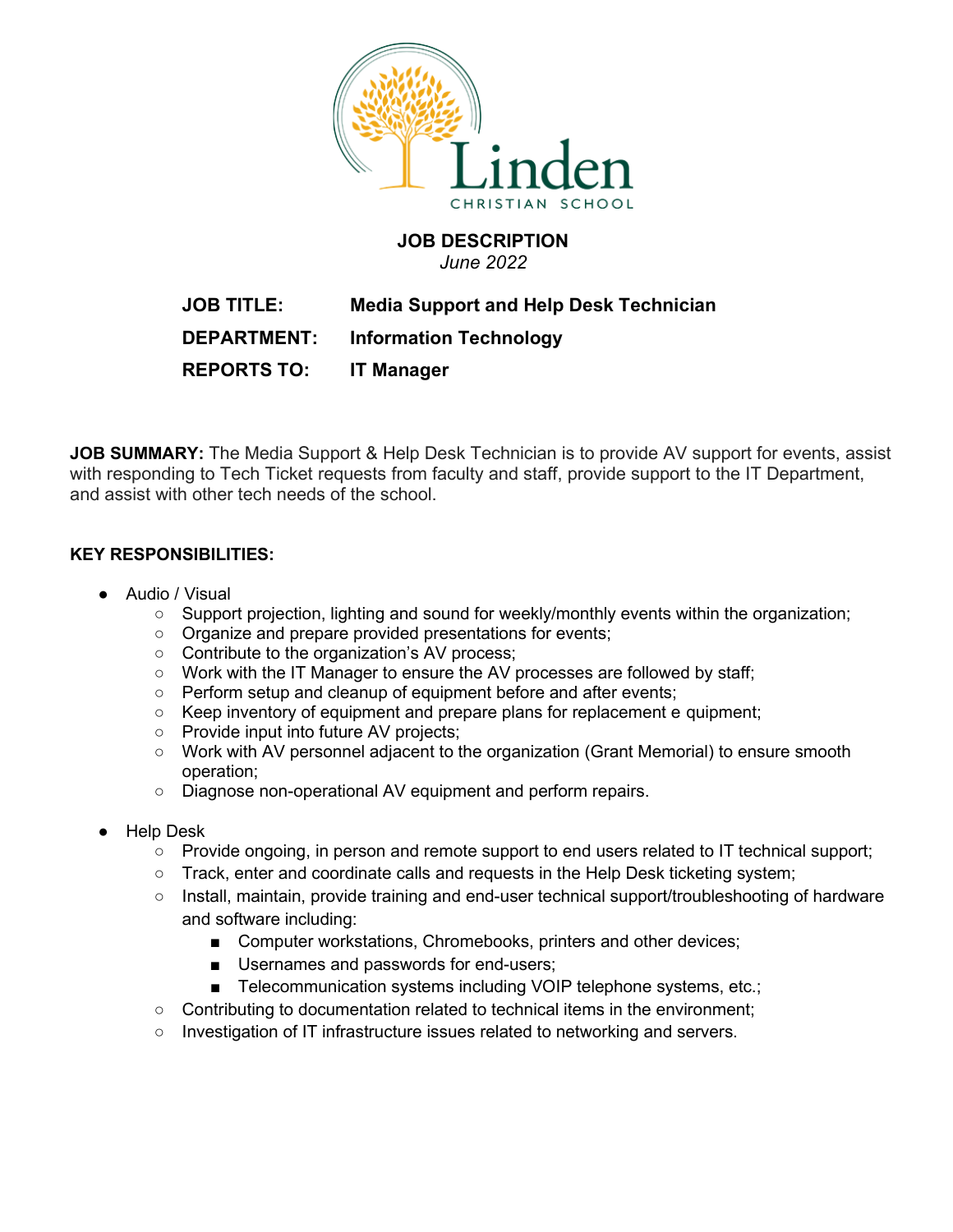

## **JOB DESCRIPTION**

*June 2022*

# **JOB TITLE: Media Support and Help Desk Technician DEPARTMENT: Information Technology**

**REPORTS TO: IT Manager**

**JOB SUMMARY:** The Media Support & Help Desk Technician is to provide AV support for events, assist with responding to Tech Ticket requests from faculty and staff, provide support to the IT Department, and assist with other tech needs of the school.

### **KEY RESPONSIBILITIES:**

- Audio / Visual
	- Support projection, lighting and sound for weekly/monthly events within the organization;
	- Organize and prepare provided presentations for events;
	- Contribute to the organization's AV process;
	- Work with the IT Manager to ensure the AV processes are followed by staff;
	- Perform setup and cleanup of equipment before and after events;
	- Keep inventory of equipment and prepare plans for replacement e quipment;
	- Provide input into future AV projects;
	- Work with AV personnel adjacent to the organization (Grant Memorial) to ensure smooth operation;
	- Diagnose non-operational AV equipment and perform repairs.
- **Help Desk** 
	- Provide ongoing, in person and remote support to end users related to IT technical support;
	- Track, enter and coordinate calls and requests in the Help Desk ticketing system;
	- Install, maintain, provide training and end-user technical support/troubleshooting of hardware and software including:
		- Computer workstations, Chromebooks, printers and other devices;
		- Usernames and passwords for end-users;
		- Telecommunication systems including VOIP telephone systems, etc.;
	- Contributing to documentation related to technical items in the environment;
	- Investigation of IT infrastructure issues related to networking and servers.